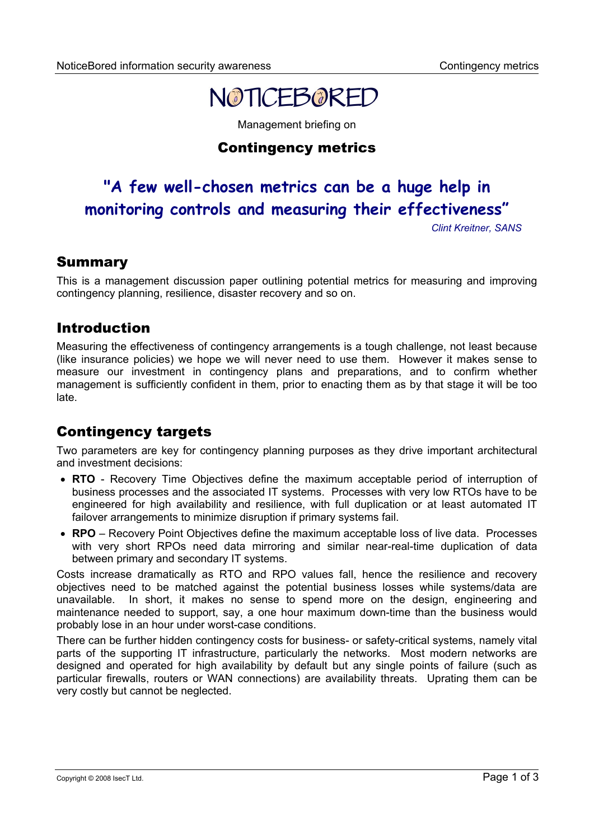# NOTICEBORED

Management briefing on

## Contingency metrics

## **"A few well-chosen metrics can be a huge help in monitoring controls and measuring their effectiveness"**

*Clint Kreitner, SANS*

## Summary

This is a management discussion paper outlining potential metrics for measuring and improving contingency planning, resilience, disaster recovery and so on.

## Introduction

Measuring the effectiveness of contingency arrangements is a tough challenge, not least because (like insurance policies) we hope we will never need to use them. However it makes sense to measure our investment in contingency plans and preparations, and to confirm whether management is sufficiently confident in them, prior to enacting them as by that stage it will be too late.

## Contingency targets

Two parameters are key for contingency planning purposes as they drive important architectural and investment decisions:

- **RTO** Recovery Time Objectives define the maximum acceptable period of interruption of business processes and the associated IT systems. Processes with very low RTOs have to be engineered for high availability and resilience, with full duplication or at least automated IT failover arrangements to minimize disruption if primary systems fail.
- **RPO** Recovery Point Objectives define the maximum acceptable loss of live data. Processes with very short RPOs need data mirroring and similar near-real-time duplication of data between primary and secondary IT systems.

Costs increase dramatically as RTO and RPO values fall, hence the resilience and recovery objectives need to be matched against the potential business losses while systems/data are unavailable. In short, it makes no sense to spend more on the design, engineering and maintenance needed to support, say, a one hour maximum down-time than the business would probably lose in an hour under worst-case conditions.

There can be further hidden contingency costs for business- or safety-critical systems, namely vital parts of the supporting IT infrastructure, particularly the networks. Most modern networks are designed and operated for high availability by default but any single points of failure (such as particular firewalls, routers or WAN connections) are availability threats. Uprating them can be very costly but cannot be neglected.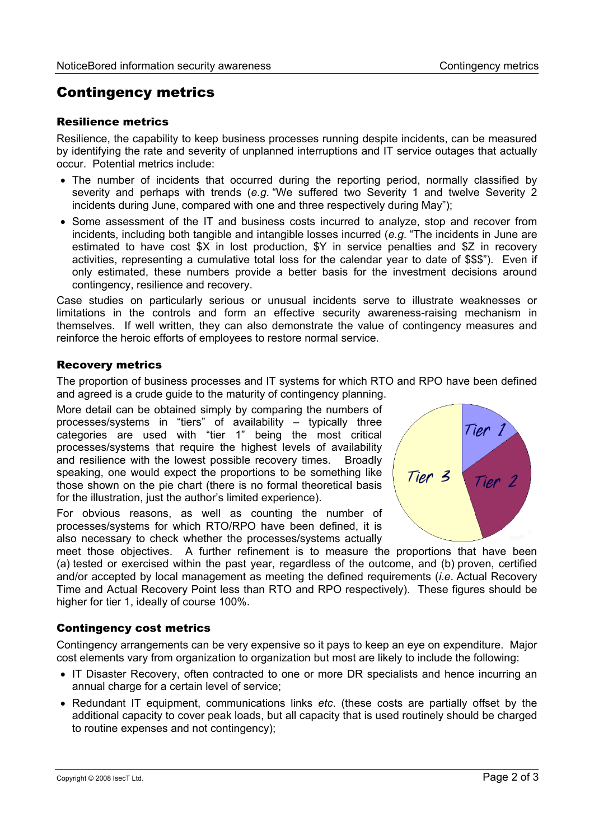## Contingency metrics

#### Resilience metrics

Resilience, the capability to keep business processes running despite incidents, can be measured by identifying the rate and severity of unplanned interruptions and IT service outages that actually occur. Potential metrics include:

- The number of incidents that occurred during the reporting period, normally classified by severity and perhaps with trends (*e.g*. "We suffered two Severity 1 and twelve Severity 2 incidents during June, compared with one and three respectively during May");
- Some assessment of the IT and business costs incurred to analyze, stop and recover from incidents, including both tangible and intangible losses incurred (*e.g*. "The incidents in June are estimated to have cost \$X in lost production, \$Y in service penalties and \$Z in recovery activities, representing a cumulative total loss for the calendar year to date of \$\$\$"). Even if only estimated, these numbers provide a better basis for the investment decisions around contingency, resilience and recovery.

Case studies on particularly serious or unusual incidents serve to illustrate weaknesses or limitations in the controls and form an effective security awareness-raising mechanism in themselves. If well written, they can also demonstrate the value of contingency measures and reinforce the heroic efforts of employees to restore normal service.

#### Recovery metrics

The proportion of business processes and IT systems for which RTO and RPO have been defined and agreed is a crude guide to the maturity of contingency planning.

More detail can be obtained simply by comparing the numbers of processes/systems in "tiers" of availability – typically three categories are used with "tier 1" being the most critical processes/systems that require the highest levels of availability and resilience with the lowest possible recovery times. Broadly speaking, one would expect the proportions to be something like those shown on the pie chart (there is no formal theoretical basis for the illustration, just the author's limited experience).

For obvious reasons, as well as counting the number of processes/systems for which RTO/RPO have been defined, it is also necessary to check whether the processes/systems actually



meet those objectives. A further refinement is to measure the proportions that have been (a) tested or exercised within the past year, regardless of the outcome, and (b) proven, certified and/or accepted by local management as meeting the defined requirements (*i.e*. Actual Recovery Time and Actual Recovery Point less than RTO and RPO respectively). These figures should be higher for tier 1, ideally of course 100%.

#### Contingency cost metrics

Contingency arrangements can be very expensive so it pays to keep an eye on expenditure. Major cost elements vary from organization to organization but most are likely to include the following:

- IT Disaster Recovery, often contracted to one or more DR specialists and hence incurring an annual charge for a certain level of service;
- Redundant IT equipment, communications links *etc*. (these costs are partially offset by the additional capacity to cover peak loads, but all capacity that is used routinely should be charged to routine expenses and not contingency);